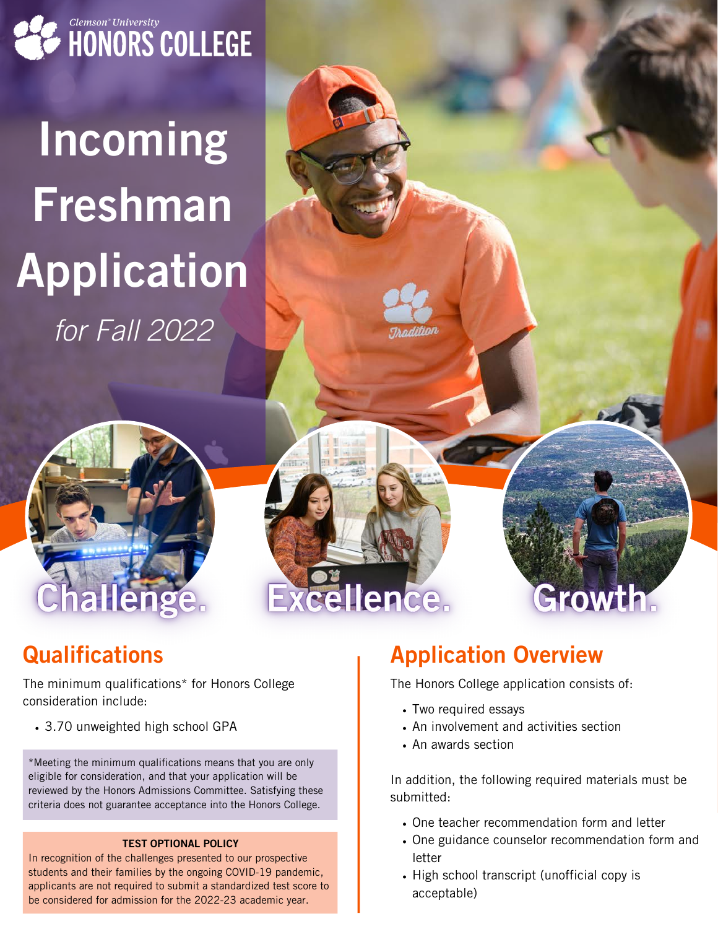

# Incoming Freshman Application for Fall 2022

### **Qualifications**

The minimum qualifications\* for Honors College consideration include:

3.70 unweighted high school GPA

\*Meeting the minimum qualifications means that you are only eligible for consideration, and that your application will be reviewed by the Honors Admissions Committee. Satisfying these criteria does not guarantee acceptance into the Honors College.

#### TEST OPTIONAL POLICY

In recognition of the challenges presented to our prospective students and their families by the ongoing COVID-19 pandemic, applicants are not required to submit a standardized test score to be considered for admission for the 2022-23 academic year.

### Application Overview

The Honors College application consists of:

• Two required essays

Hence.

- An involvement and activities section
- An awards section

In addition, the following required materials must be submitted:

Growth:

- One teacher recommendation form and letter
- One guidance counselor recommendation form and letter
- High school transcript (unofficial copy is acceptable)